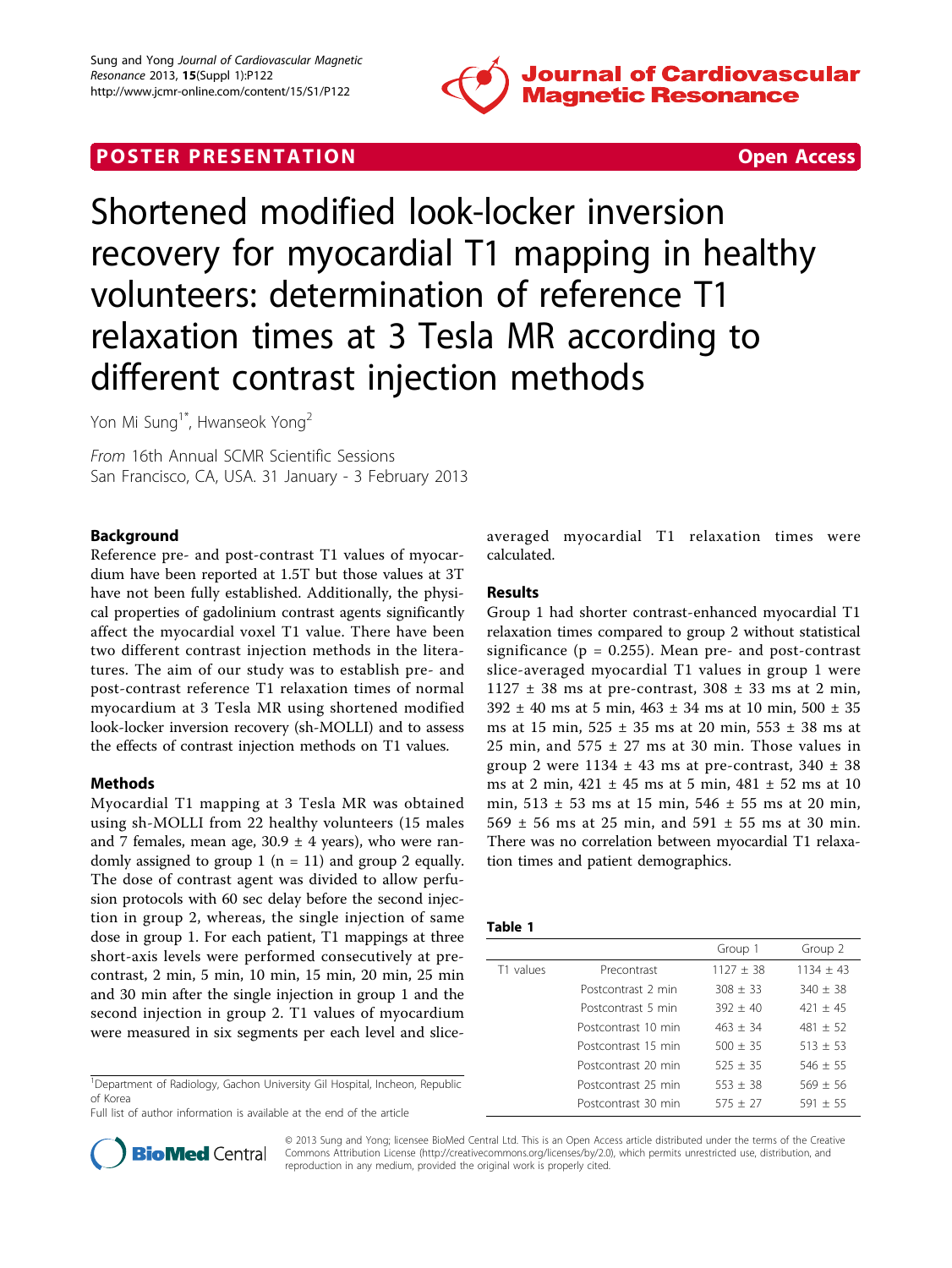

# **POSTER PRESENTATION CONSUMING THE SECOND CONSUMING THE SECOND CONSUMING THE SECOND CONSUMING THE SECOND CONSUMING THE SECOND CONSUMING THE SECOND CONSUMING THE SECOND CONSUMING THE SECOND CONSUMING THE SECOND CONSUMING**



Shortened modified look-locker inversion recovery for myocardial T1 mapping in healthy volunteers: determination of reference T1 relaxation times at 3 Tesla MR according to different contrast injection methods

Yon Mi Sung<sup>1\*</sup>, Hwanseok Yong<sup>2</sup>

From 16th Annual SCMR Scientific Sessions San Francisco, CA, USA. 31 January - 3 February 2013

# Background

Reference pre- and post-contrast T1 values of myocardium have been reported at 1.5T but those values at 3T have not been fully established. Additionally, the physical properties of gadolinium contrast agents significantly affect the myocardial voxel T1 value. There have been two different contrast injection methods in the literatures. The aim of our study was to establish pre- and post-contrast reference T1 relaxation times of normal myocardium at 3 Tesla MR using shortened modified look-locker inversion recovery (sh-MOLLI) and to assess the effects of contrast injection methods on T1 values.

# Methods

Myocardial T1 mapping at 3 Tesla MR was obtained using sh-MOLLI from 22 healthy volunteers (15 males and 7 females, mean age,  $30.9 \pm 4$  years), who were randomly assigned to group 1 ( $n = 11$ ) and group 2 equally. The dose of contrast agent was divided to allow perfusion protocols with 60 sec delay before the second injection in group 2, whereas, the single injection of same dose in group 1. For each patient, T1 mappings at three short-axis levels were performed consecutively at precontrast, 2 min, 5 min, 10 min, 15 min, 20 min, 25 min and 30 min after the single injection in group 1 and the second injection in group 2. T1 values of myocardium were measured in six segments per each level and slice-

<sup>1</sup>Department of Radiology, Gachon University Gil Hospital, Incheon, Republic of Korea

Full list of author information is available at the end of the article

averaged myocardial T1 relaxation times were calculated.

# Results

Group 1 had shorter contrast-enhanced myocardial T1 relaxation times compared to group 2 without statistical significance ( $p = 0.255$ ). Mean pre- and post-contrast slice-averaged myocardial T1 values in group 1 were  $1127 \pm 38$  ms at pre-contrast,  $308 \pm 33$  ms at 2 min,  $392 \pm 40$  ms at 5 min,  $463 \pm 34$  ms at 10 min,  $500 \pm 35$ ms at 15 min,  $525 \pm 35$  ms at 20 min,  $553 \pm 38$  ms at 25 min, and  $575 \pm 27$  ms at 30 min. Those values in group 2 were  $1134 \pm 43$  ms at pre-contrast,  $340 \pm 38$ ms at 2 min, 421 ± 45 ms at 5 min, 481 ± 52 ms at 10 min,  $513 \pm 53$  ms at 15 min,  $546 \pm 55$  ms at 20 min. 569  $\pm$  56 ms at 25 min, and 591  $\pm$  55 ms at 30 min. There was no correlation between myocardial T1 relaxation times and patient demographics.

| . .<br>$\sim$<br>$\sim$<br>w |  |
|------------------------------|--|
|------------------------------|--|

|           |                     | Group 1     | Group 2     |
|-----------|---------------------|-------------|-------------|
| T1 values | Precontrast         | $1127 + 38$ | $1134 + 43$ |
|           | Postcontrast 2 min  | $308 + 33$  | $340 + 38$  |
|           | Postcontrast 5 min  | $392 + 40$  | $421 + 45$  |
|           | Postcontrast 10 min | $463 + 34$  | $481 + 52$  |
|           | Postcontrast 15 min | $500 + 35$  | $513 + 53$  |
|           | Postcontrast 20 min | $525 + 35$  | $546 + 55$  |
|           | Postcontrast 25 min | $553 + 38$  | $569 + 56$  |
|           | Postcontrast 30 min | $575 + 27$  | $591 + 55$  |



© 2013 Sung and Yong; licensee BioMed Central Ltd. This is an Open Access article distributed under the terms of the Creative Commons Attribution License [\(http://creativecommons.org/licenses/by/2.0](http://creativecommons.org/licenses/by/2.0)), which permits unrestricted use, distribution, and reproduction in any medium, provided the original work is properly cited.